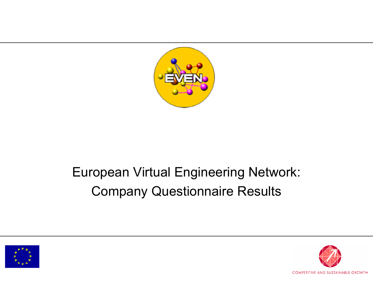

# European Virtual Engineering Network: Company Questionnaire Results



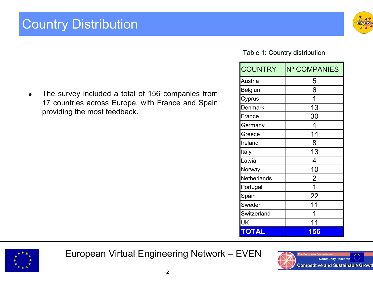

#### Table 1: Country distribution

| <b>COUNTRY</b> | Nº COMPANIES   |
|----------------|----------------|
| Austria        | 5              |
| Belgium        | 6              |
| Cyprus         | 1              |
| <b>Denmark</b> | 13             |
| France         | 30             |
| Germany        | 4              |
| Greece         | 14             |
| Ireland        | 8              |
| Italy          | 13             |
| Latvia         | 4              |
| Norway         | 10             |
| Netherlands    | $\overline{2}$ |
| Portugal       | 1              |
| Spain          | 22             |
| Sweden         | 11             |
| Switzerland    |                |
| UK             |                |
| OTAL           | 156            |

The survey included a total of 156 companies from 17 countries across Europe, with France and Spain providing the most feedback.

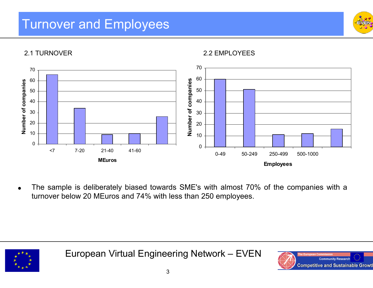#### Turnover and Employees





2.2 EMPLOYEES



 $\bullet$ • The sample is deliberately biased towards SME's with almost 70% of the companies with a turnove r below 2 0 MEuros and 74% with less than 250 emplo yees.



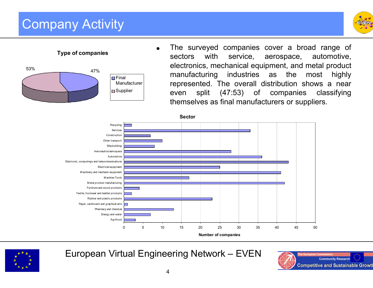## Company Activity



 $\bullet$  The surve yed companies cover a b road range of sectors with service, aerospace, automotive, electronics, mechanical equipment, and metal product manufacturing industries as the most highly represented. The overall distrib ution shows a near even split (47:53) o f companies classifying themselves as final manufacturers or suppliers.

**Sector**





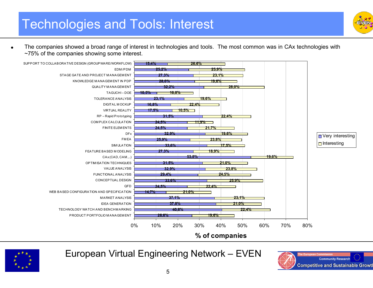

e • The companies showed a broad range of interest in technologies and tools. The most common was in CAx technologies with ~75% of the c ompa nies s h o wing s o m e i nterest.



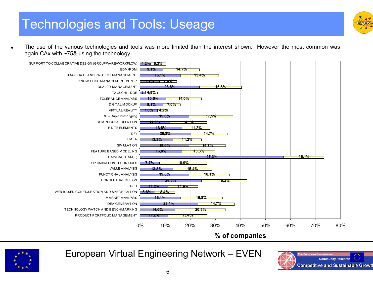

The use of the various technologies and tools was more limited than the interest shown. However the most common was again CAx with ~75& using the technology.



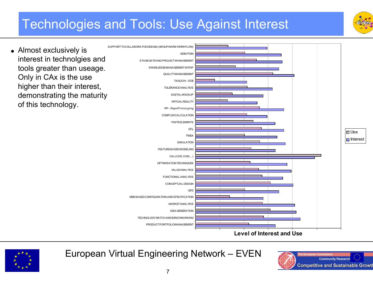## **Technologies and Tools: Use Against Interest**



• Almost exclusively is interest in technolgies and tools greater than useage. Only in CAx is the use higher than their interest, demonstrating the maturity of this technology.





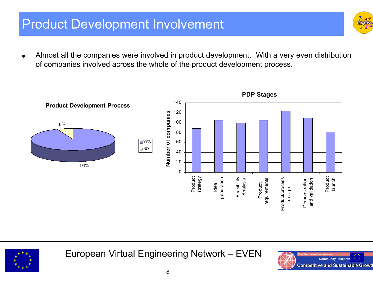#### Product Development Involvement

 $\bullet$ • Almost all the companies were involved in product development. With a very even distribution of companies involved across the whole of the p roduct development process.



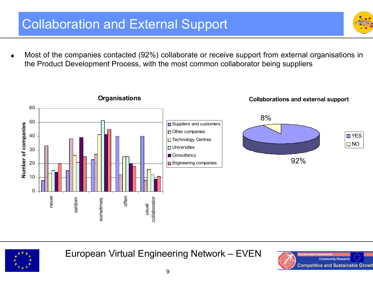## Collaboration and External Support

 $\bullet$  Most o f the co mpanies contacted (92 %) collaborate or receive support f r o m e xternal organisations in the Product Development Process, with the most common collaborator being suppliers





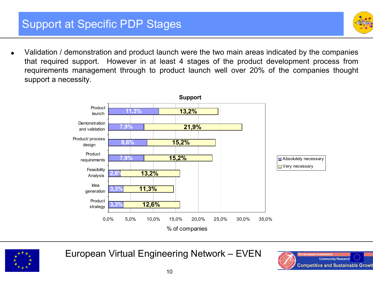- 
- $\bullet$ • Validation / demonstration and product launch were the two main areas indicated by the companies that required support. However in at least 4 stages of the product development process from requirements management through to product launch w ell over 20% o f the companies thought support a necessity.